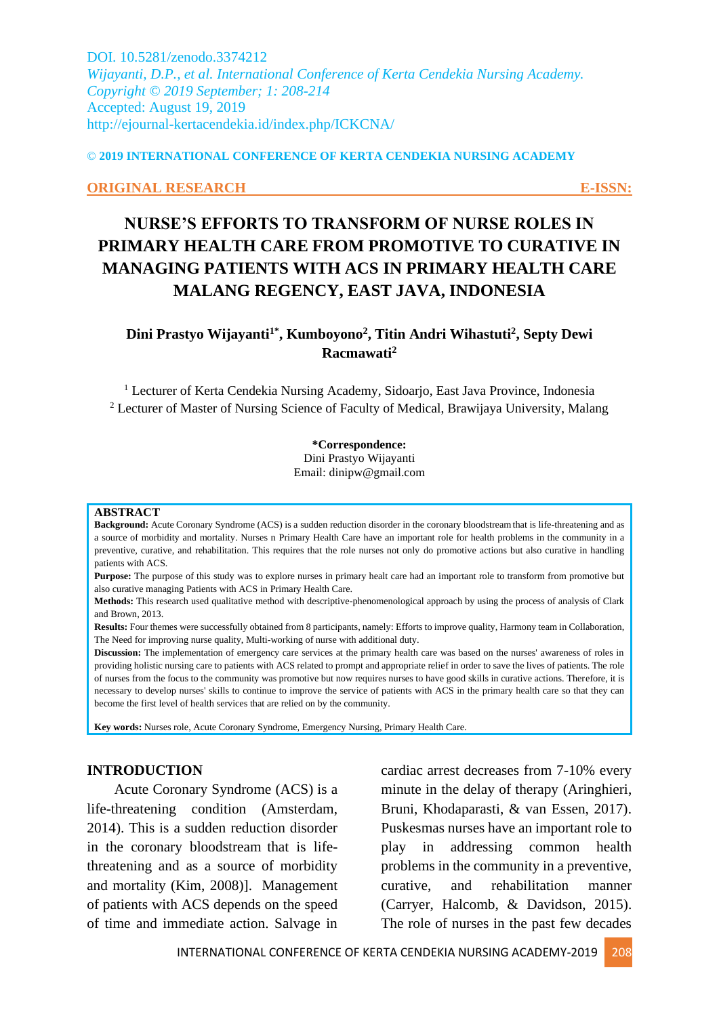DOI. 10.5281/zenodo.3374212 *Wijayanti, D.P., et al. International Conference of Kerta Cendekia Nursing Academy. Copyright © 2019 September; 1: 208-214* Accepted: August 19, 2019 http://ejournal-kertacendekia.id/index.php/ICKCNA/

#### © **2019 INTERNATIONAL CONFERENCE OF KERTA CENDEKIA NURSING ACADEMY**

#### **ORIGINAL RESEARCH E-ISSN:**

# **NURSE'S EFFORTS TO TRANSFORM OF NURSE ROLES IN PRIMARY HEALTH CARE FROM PROMOTIVE TO CURATIVE IN MANAGING PATIENTS WITH ACS IN PRIMARY HEALTH CARE MALANG REGENCY, EAST JAVA, INDONESIA**

**Dini Prastyo Wijayanti1\* , Kumboyono<sup>2</sup> , Titin Andri Wihastuti<sup>2</sup> , Septy Dewi Racmawati<sup>2</sup>**

<sup>1</sup> Lecturer of Kerta Cendekia Nursing Academy, Sidoarjo, East Java Province, Indonesia <sup>2</sup> Lecturer of Master of Nursing Science of Faculty of Medical, Brawijaya University, Malang

#### **\*Correspondence:**

Dini Prastyo Wijayanti Email: dinipw@gmail.com

#### **ABSTRACT**

**Background:** Acute Coronary Syndrome (ACS) is a sudden reduction disorder in the coronary bloodstreamthat is life-threatening and as a source of morbidity and mortality. Nurses n Primary Health Care have an important role for health problems in the community in a preventive, curative, and rehabilitation. This requires that the role nurses not only do promotive actions but also curative in handling patients with ACS.

**Purpose:** The purpose of this study was to explore nurses in primary healt care had an important role to transform from promotive but also curative managing Patients with ACS in Primary Health Care.

**Methods:** This research used qualitative method with descriptive-phenomenological approach by using the process of analysis of Clark and Brown, 2013.

**Results:** Four themes were successfully obtained from 8 participants, namely: Efforts to improve quality, Harmony team in Collaboration, The Need for improving nurse quality, Multi-working of nurse with additional duty.

**Discussion:** The implementation of emergency care services at the primary health care was based on the nurses' awareness of roles in providing holistic nursing care to patients with ACS related to prompt and appropriate relief in order to save the lives of patients. The role of nurses from the focus to the community was promotive but now requires nurses to have good skills in curative actions. Therefore, it is necessary to develop nurses' skills to continue to improve the service of patients with ACS in the primary health care so that they can become the first level of health services that are relied on by the community.

**Key words:** Nurses role, Acute Coronary Syndrome, Emergency Nursing, Primary Health Care.

#### **INTRODUCTION**

Acute Coronary Syndrome (ACS) is a life-threatening condition (Amsterdam, 2014). This is a sudden reduction disorder in the coronary bloodstream that is lifethreatening and as a source of morbidity and mortality (Kim, 2008)]. Management of patients with ACS depends on the speed of time and immediate action. Salvage in cardiac arrest decreases from 7-10% every minute in the delay of therapy (Aringhieri, Bruni, Khodaparasti, & van Essen, 2017). Puskesmas nurses have an important role to play in addressing common health problems in the community in a preventive, curative, and rehabilitation manner (Carryer, Halcomb, & Davidson, 2015). The role of nurses in the past few decades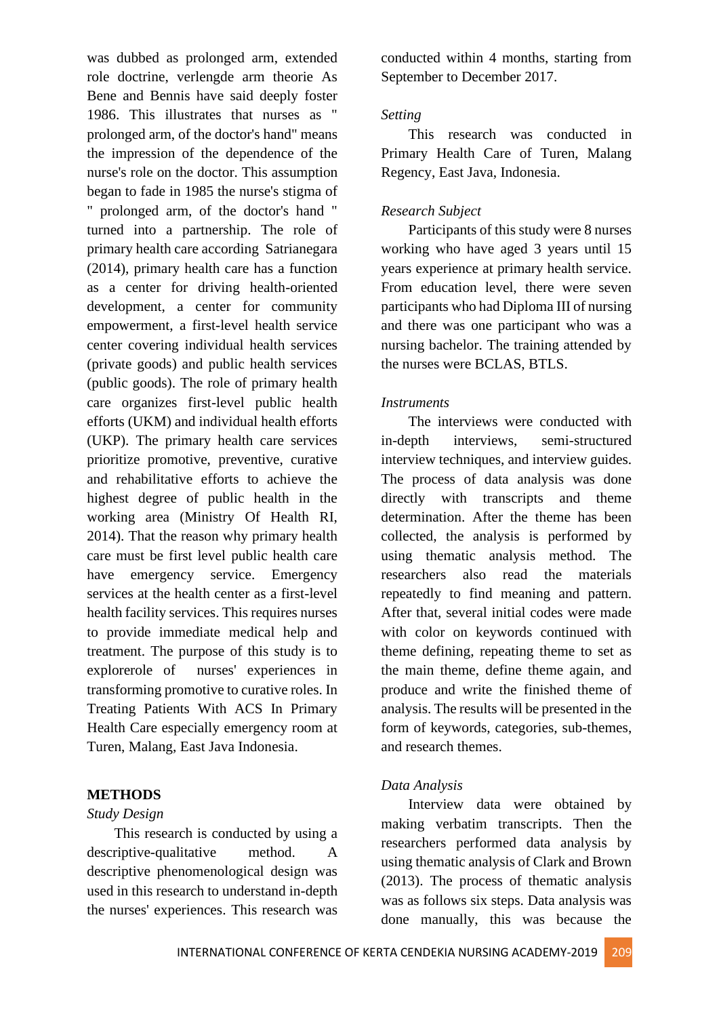was dubbed as prolonged arm, extended role doctrine, verlengde arm theorie As Bene and Bennis have said deeply foster 1986. This illustrates that nurses as " prolonged arm, of the doctor's hand" means the impression of the dependence of the nurse's role on the doctor. This assumption began to fade in 1985 the nurse's stigma of " prolonged arm, of the doctor's hand " turned into a partnership. The role of primary health care according Satrianegara (2014), primary health care has a function as a center for driving health-oriented development, a center for community empowerment, a first-level health service center covering individual health services (private goods) and public health services (public goods). The role of primary health care organizes first-level public health efforts (UKM) and individual health efforts (UKP). The primary health care services prioritize promotive, preventive, curative and rehabilitative efforts to achieve the highest degree of public health in the working area (Ministry Of Health RI, 2014). That the reason why primary health care must be first level public health care have emergency service. Emergency services at the health center as a first-level health facility services. This requires nurses to provide immediate medical help and treatment. The purpose of this study is to explorerole of nurses' experiences in transforming promotive to curative roles. In Treating Patients With ACS In Primary Health Care especially emergency room at Turen, Malang, East Java Indonesia.

## **METHODS**

#### *Study Design*

This research is conducted by using a descriptive-qualitative method. A descriptive phenomenological design was used in this research to understand in-depth the nurses' experiences. This research was conducted within 4 months, starting from September to December 2017.

#### *Setting*

This research was conducted in Primary Health Care of Turen, Malang Regency, East Java, Indonesia.

#### *Research Subject*

Participants of this study were 8 nurses working who have aged 3 years until 15 years experience at primary health service. From education level, there were seven participants who had Diploma III of nursing and there was one participant who was a nursing bachelor. The training attended by the nurses were BCLAS, BTLS.

#### *Instruments*

The interviews were conducted with in-depth interviews, semi-structured interview techniques, and interview guides. The process of data analysis was done directly with transcripts and theme determination. After the theme has been collected, the analysis is performed by using thematic analysis method. The researchers also read the materials repeatedly to find meaning and pattern. After that, several initial codes were made with color on keywords continued with theme defining, repeating theme to set as the main theme, define theme again, and produce and write the finished theme of analysis. The results will be presented in the form of keywords, categories, sub-themes, and research themes.

#### *Data Analysis*

Interview data were obtained by making verbatim transcripts. Then the researchers performed data analysis by using thematic analysis of Clark and Brown (2013). The process of thematic analysis was as follows six steps. Data analysis was done manually, this was because the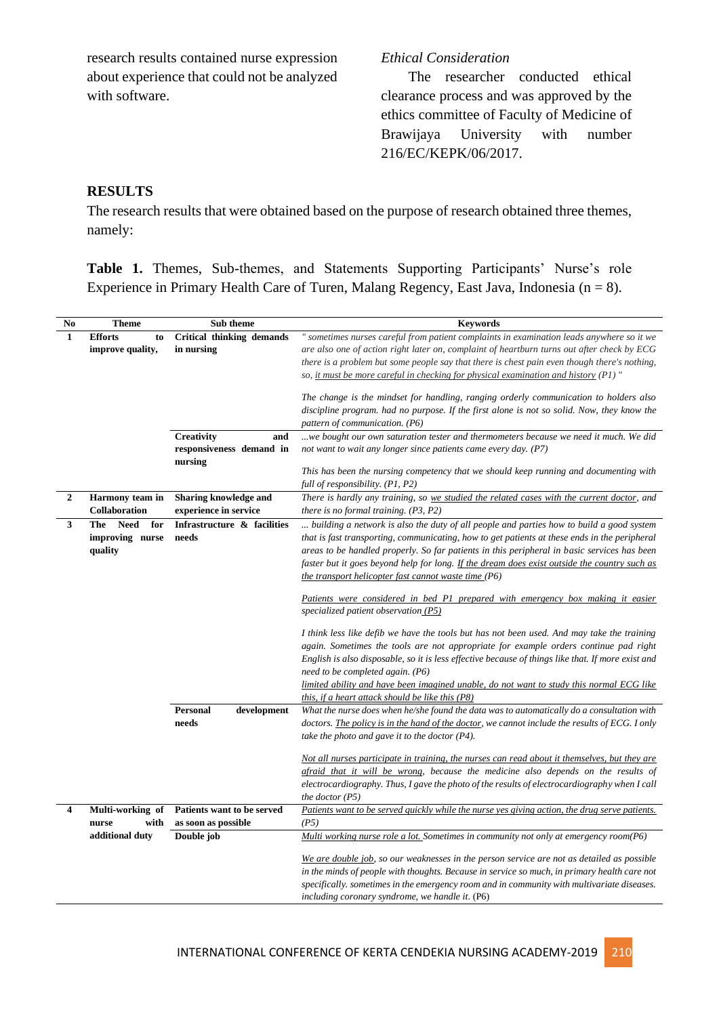research results contained nurse expression about experience that could not be analyzed with software.

## *Ethical Consideration*

The researcher conducted ethical clearance process and was approved by the ethics committee of Faculty of Medicine of Brawijaya University with number 216/EC/KEPK/06/2017.

# **RESULTS**

The research results that were obtained based on the purpose of research obtained three themes, namely:

**Table 1.** Themes, Sub-themes, and Statements Supporting Participants' Nurse's role Experience in Primary Health Care of Turen, Malang Regency, East Java, Indonesia ( $n = 8$ ).

| No           | <b>Theme</b>                                     | Sub theme                                                | <b>Keywords</b>                                                                                                                                                                                                                                                                                                                                                                                                                                  |
|--------------|--------------------------------------------------|----------------------------------------------------------|--------------------------------------------------------------------------------------------------------------------------------------------------------------------------------------------------------------------------------------------------------------------------------------------------------------------------------------------------------------------------------------------------------------------------------------------------|
| 1            | <b>Efforts</b><br>to<br>improve quality,         | Critical thinking demands<br>in nursing                  | " sometimes nurses careful from patient complaints in examination leads anywhere so it we<br>are also one of action right later on, complaint of heartburn turns out after check by ECG<br>there is a problem but some people say that there is chest pain even though there's nothing,<br>so, it must be more careful in checking for physical examination and history $(PI)$ "                                                                 |
|              |                                                  |                                                          | The change is the mindset for handling, ranging orderly communication to holders also<br>discipline program. had no purpose. If the first alone is not so solid. Now, they know the<br>pattern of communication. (P6)                                                                                                                                                                                                                            |
|              |                                                  | Creativity<br>and<br>responsiveness demand in<br>nursing | we bought our own saturation tester and thermometers because we need it much. We did<br>not want to wait any longer since patients came every day. (P7)                                                                                                                                                                                                                                                                                          |
|              |                                                  |                                                          | This has been the nursing competency that we should keep running and documenting with<br>full of responsibility. (P1, P2)                                                                                                                                                                                                                                                                                                                        |
| $\mathbf{2}$ | Harmony team in<br>Collaboration                 | Sharing knowledge and<br>experience in service           | There is hardly any training, so we studied the related cases with the current doctor, and<br>there is no formal training. $(P3, P2)$                                                                                                                                                                                                                                                                                                            |
| 3            | Need<br>The<br>for<br>improving nurse<br>quality | Infrastructure & facilities<br>needs                     | building a network is also the duty of all people and parties how to build a good system<br>that is fast transporting, communicating, how to get patients at these ends in the peripheral<br>areas to be handled properly. So far patients in this peripheral in basic services has been<br>faster but it goes beyond help for long. If the dream does exist outside the country such as<br>the transport helicopter fast cannot waste time (P6) |
|              |                                                  |                                                          | Patients were considered in bed P1 prepared with emergency box making it easier<br>specialized patient observation $(P5)$                                                                                                                                                                                                                                                                                                                        |
|              |                                                  |                                                          | I think less like defib we have the tools but has not been used. And may take the training<br>again. Sometimes the tools are not appropriate for example orders continue pad right<br>English is also disposable, so it is less effective because of things like that. If more exist and<br>need to be completed again. (P6)                                                                                                                     |
|              |                                                  |                                                          | limited ability and have been imagined unable, do not want to study this normal ECG like<br>this, if a heart attack should be like this $(P8)$                                                                                                                                                                                                                                                                                                   |
|              |                                                  | Personal<br>development<br>needs                         | What the nurse does when he/she found the data was to automatically do a consultation with<br>doctors. The policy is in the hand of the doctor, we cannot include the results of ECG. I only<br>take the photo and gave it to the doctor $(P4)$ .                                                                                                                                                                                                |
|              |                                                  |                                                          | Not all nurses participate in training, the nurses can read about it themselves, but they are<br>afraid that it will be wrong, because the medicine also depends on the results of<br>electrocardiography. Thus, I gave the photo of the results of electrocardiography when I call<br>the doctor $(P5)$                                                                                                                                         |
| 4            | Multi-working of                                 | Patients want to be served                               | Patients want to be served quickly while the nurse yes giving action, the drug serve patients.                                                                                                                                                                                                                                                                                                                                                   |
|              | with<br>nurse                                    | as soon as possible                                      | (P5)                                                                                                                                                                                                                                                                                                                                                                                                                                             |
|              | additional duty                                  | Double job                                               | Multi working nurse role a lot. Sometimes in community not only at emergency room(P6)                                                                                                                                                                                                                                                                                                                                                            |
|              |                                                  |                                                          | We are double job, so our weaknesses in the person service are not as detailed as possible<br>in the minds of people with thoughts. Because in service so much, in primary health care not<br>specifically, sometimes in the emergency room and in community with multivariate diseases.<br>including coronary syndrome, we handle it. (P6)                                                                                                      |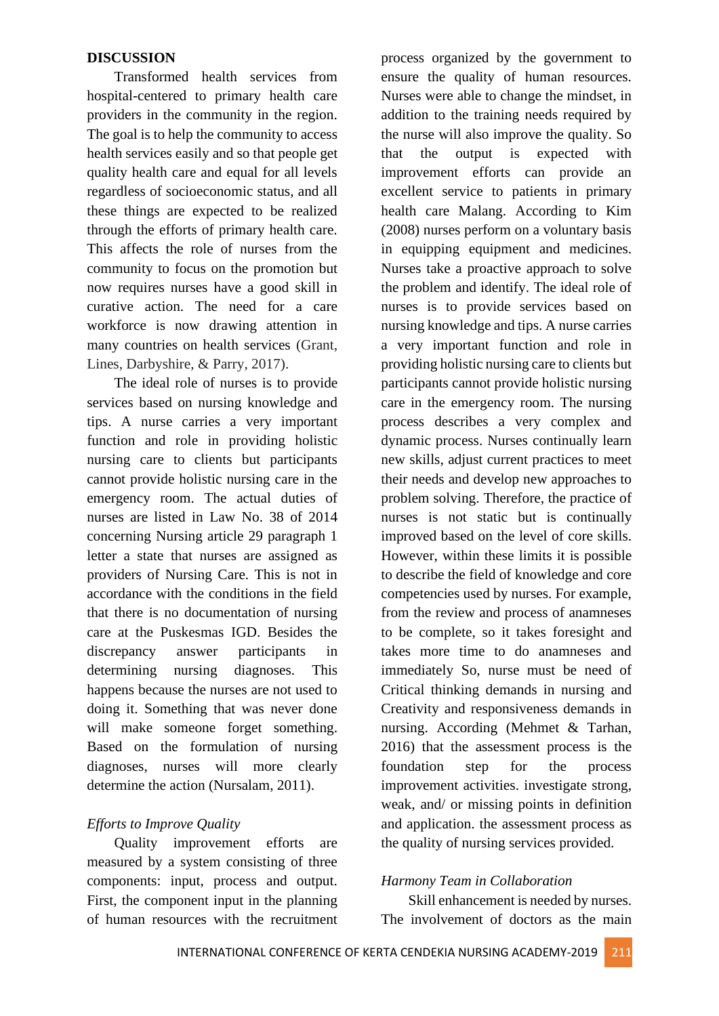#### **DISCUSSION**

Transformed health services from hospital-centered to primary health care providers in the community in the region. The goal is to help the community to access health services easily and so that people get quality health care and equal for all levels regardless of socioeconomic status, and all these things are expected to be realized through the efforts of primary health care. This affects the role of nurses from the community to focus on the promotion but now requires nurses have a good skill in curative action. The need for a care workforce is now drawing attention in many countries on health services (Grant, Lines, Darbyshire, & Parry, 2017).

The ideal role of nurses is to provide services based on nursing knowledge and tips. A nurse carries a very important function and role in providing holistic nursing care to clients but participants cannot provide holistic nursing care in the emergency room. The actual duties of nurses are listed in Law No. 38 of 2014 concerning Nursing article 29 paragraph 1 letter a state that nurses are assigned as providers of Nursing Care. This is not in accordance with the conditions in the field that there is no documentation of nursing care at the Puskesmas IGD. Besides the discrepancy answer participants in determining nursing diagnoses. This happens because the nurses are not used to doing it. Something that was never done will make someone forget something. Based on the formulation of nursing diagnoses, nurses will more clearly determine the action (Nursalam, 2011).

# *Efforts to Improve Quality*

Quality improvement efforts are measured by a system consisting of three components: input, process and output. First, the component input in the planning of human resources with the recruitment

process organized by the government to ensure the quality of human resources. Nurses were able to change the mindset, in addition to the training needs required by the nurse will also improve the quality. So that the output is expected with improvement efforts can provide an excellent service to patients in primary health care Malang. According to Kim (2008) nurses perform on a voluntary basis in equipping equipment and medicines. Nurses take a proactive approach to solve the problem and identify. The ideal role of nurses is to provide services based on nursing knowledge and tips. A nurse carries a very important function and role in providing holistic nursing care to clients but participants cannot provide holistic nursing care in the emergency room. The nursing process describes a very complex and dynamic process. Nurses continually learn new skills, adjust current practices to meet their needs and develop new approaches to problem solving. Therefore, the practice of nurses is not static but is continually improved based on the level of core skills. However, within these limits it is possible to describe the field of knowledge and core competencies used by nurses. For example, from the review and process of anamneses to be complete, so it takes foresight and takes more time to do anamneses and immediately So, nurse must be need of Critical thinking demands in nursing and Creativity and responsiveness demands in nursing. According (Mehmet & Tarhan, 2016) that the assessment process is the foundation step for the process improvement activities. investigate strong, weak, and/ or missing points in definition and application. the assessment process as the quality of nursing services provided.

# *Harmony Team in Collaboration*

Skill enhancement is needed by nurses. The involvement of doctors as the main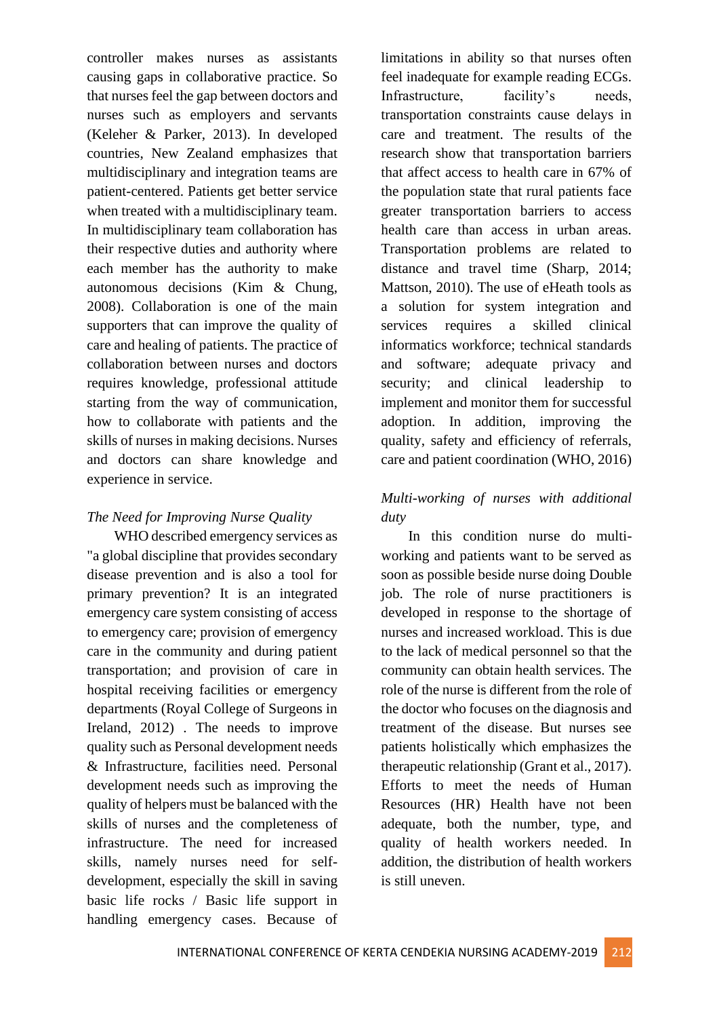controller makes nurses as assistants causing gaps in collaborative practice. So that nurses feel the gap between doctors and nurses such as employers and servants (Keleher & Parker, 2013). In developed countries, New Zealand emphasizes that multidisciplinary and integration teams are patient-centered. Patients get better service when treated with a multidisciplinary team. In multidisciplinary team collaboration has their respective duties and authority where each member has the authority to make autonomous decisions (Kim & Chung, 2008). Collaboration is one of the main supporters that can improve the quality of care and healing of patients. The practice of collaboration between nurses and doctors requires knowledge, professional attitude starting from the way of communication, how to collaborate with patients and the skills of nurses in making decisions. Nurses and doctors can share knowledge and experience in service.

# *The Need for Improving Nurse Quality*

WHO described emergency services as "a global discipline that provides secondary disease prevention and is also a tool for primary prevention? It is an integrated emergency care system consisting of access to emergency care; provision of emergency care in the community and during patient transportation; and provision of care in hospital receiving facilities or emergency departments (Royal College of Surgeons in Ireland, 2012) . The needs to improve quality such as Personal development needs & Infrastructure, facilities need. Personal development needs such as improving the quality of helpers must be balanced with the skills of nurses and the completeness of infrastructure. The need for increased skills, namely nurses need for selfdevelopment, especially the skill in saving basic life rocks / Basic life support in handling emergency cases. Because of limitations in ability so that nurses often feel inadequate for example reading ECGs. Infrastructure, facility's needs, transportation constraints cause delays in care and treatment. The results of the research show that transportation barriers that affect access to health care in 67% of the population state that rural patients face greater transportation barriers to access health care than access in urban areas. Transportation problems are related to distance and travel time (Sharp, 2014; Mattson, 2010). The use of eHeath tools as a solution for system integration and services requires a skilled clinical informatics workforce; technical standards and software; adequate privacy and security; and clinical leadership to implement and monitor them for successful adoption. In addition, improving the quality, safety and efficiency of referrals, care and patient coordination (WHO, 2016)

# *Multi-working of nurses with additional duty*

In this condition nurse do multiworking and patients want to be served as soon as possible beside nurse doing Double job. The role of nurse practitioners is developed in response to the shortage of nurses and increased workload. This is due to the lack of medical personnel so that the community can obtain health services. The role of the nurse is different from the role of the doctor who focuses on the diagnosis and treatment of the disease. But nurses see patients holistically which emphasizes the therapeutic relationship (Grant et al., 2017). Efforts to meet the needs of Human Resources (HR) Health have not been adequate, both the number, type, and quality of health workers needed. In addition, the distribution of health workers is still uneven.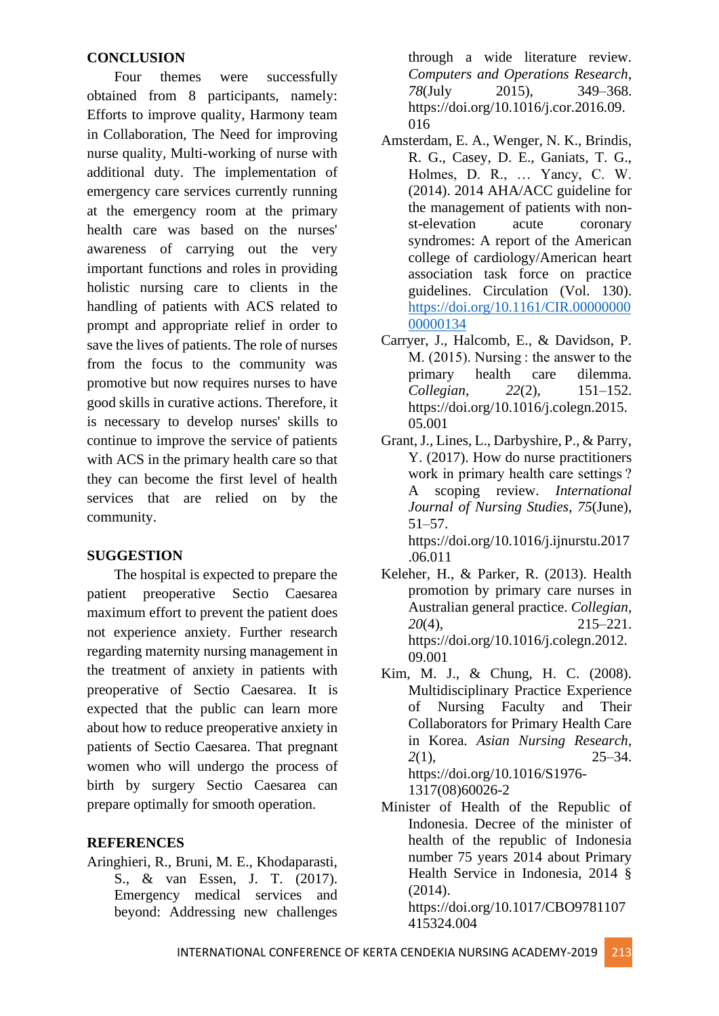## **CONCLUSION**

Four themes were successfully obtained from 8 participants, namely: Efforts to improve quality, Harmony team in Collaboration, The Need for improving nurse quality, Multi-working of nurse with additional duty. The implementation of emergency care services currently running at the emergency room at the primary health care was based on the nurses' awareness of carrying out the very important functions and roles in providing holistic nursing care to clients in the handling of patients with ACS related to prompt and appropriate relief in order to save the lives of patients. The role of nurses from the focus to the community was promotive but now requires nurses to have good skills in curative actions. Therefore, it is necessary to develop nurses' skills to continue to improve the service of patients with ACS in the primary health care so that they can become the first level of health services that are relied on by the community.

# **SUGGESTION**

The hospital is expected to prepare the patient preoperative Sectio Caesarea maximum effort to prevent the patient does not experience anxiety. Further research regarding maternity nursing management in the treatment of anxiety in patients with preoperative of Sectio Caesarea. It is expected that the public can learn more about how to reduce preoperative anxiety in patients of Sectio Caesarea. That pregnant women who will undergo the process of birth by surgery Sectio Caesarea can prepare optimally for smooth operation.

# **REFERENCES**

Aringhieri, R., Bruni, M. E., Khodaparasti, S., & van Essen, J. T. (2017). Emergency medical services and beyond: Addressing new challenges

through a wide literature review. *Computers and Operations Research*, *78*(July 2015), 349–368. https://doi.org/10.1016/j.cor.2016.09. 016

- Amsterdam, E. A., Wenger, N. K., Brindis, R. G., Casey, D. E., Ganiats, T. G., Holmes, D. R., … Yancy, C. W. (2014). 2014 AHA/ACC guideline for the management of patients with nonst-elevation acute coronary syndromes: A report of the American college of cardiology/American heart association task force on practice guidelines. Circulation (Vol. 130). [https://doi.org/10.1161/CIR.00000000](https://doi.org/10.1161/CIR.0000000000000134) [00000134](https://doi.org/10.1161/CIR.0000000000000134)
- Carryer, J., Halcomb, E., & Davidson, P. M. (2015). Nursing : the answer to the primary health care dilemma. *Collegian*, *22*(2), 151–152. https://doi.org/10.1016/j.colegn.2015. 05.001
- Grant, J., Lines, L., Darbyshire, P., & Parry, Y. (2017). How do nurse practitioners work in primary health care settings ? A scoping review. *International Journal of Nursing Studies*, *75*(June), 51–57. https://doi.org/10.1016/j.ijnurstu.2017

.06.011

- Keleher, H., & Parker, R. (2013). Health promotion by primary care nurses in Australian general practice. *Collegian*, *20*(4), 215–221. https://doi.org/10.1016/j.colegn.2012. 09.001
- Kim, M. J., & Chung, H. C. (2008). Multidisciplinary Practice Experience of Nursing Faculty and Their Collaborators for Primary Health Care in Korea. *Asian Nursing Research*, *2*(1), 25–34. https://doi.org/10.1016/S1976- 1317(08)60026-2
- Minister of Health of the Republic of Indonesia. Decree of the minister of health of the republic of Indonesia number 75 years 2014 about Primary Health Service in Indonesia, 2014 § (2014).

https://doi.org/10.1017/CBO9781107 415324.004